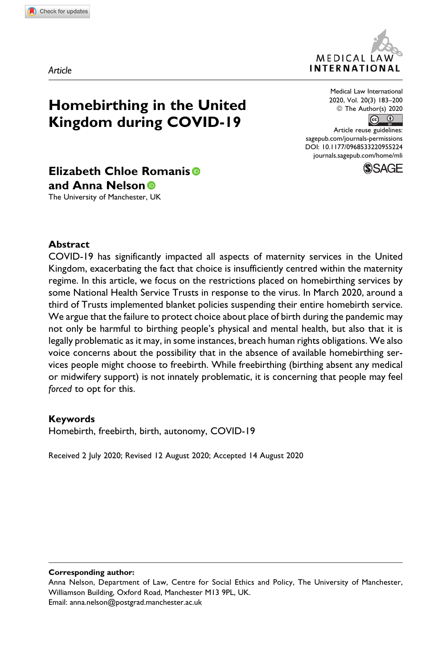*Article*



**Homebirthing in the United Kingdom during COVID-19**

Medical Law International 2020, Vol. 20(3) 183–200  $\circledcirc$  The Author(s) 2020

Article reuse guidelines: [sagepub.com/journals-permissions](https://sagepub.com/journals-permissions) [DOI: 10.1177/0968533220955224](https://doi.org/10.1177/0968533220955224) [journals.sagepub.com/home/mli](http://journals.sagepub.com/home/mli)



# **Elizabeth Chloe Romanis and Anna Nelson**

The University of Manchester, UK

#### **Abstract**

COVID-19 has significantly impacted all aspects of maternity services in the United Kingdom, exacerbating the fact that choice is insufficiently centred within the maternity regime. In this article, we focus on the restrictions placed on homebirthing services by some National Health Service Trusts in response to the virus. In March 2020, around a third of Trusts implemented blanket policies suspending their entire homebirth service. We argue that the failure to protect choice about place of birth during the pandemic may not only be harmful to birthing people's physical and mental health, but also that it is legally problematic as it may, in some instances, breach human rights obligations. We also voice concerns about the possibility that in the absence of available homebirthing services people might choose to freebirth. While freebirthing (birthing absent any medical or midwifery support) is not innately problematic, it is concerning that people may feel *forced* to opt for this.

#### **Keywords**

Homebirth, freebirth, birth, autonomy, COVID-19

Received 2 July 2020; Revised 12 August 2020; Accepted 14 August 2020

**Corresponding author:**

Anna Nelson, Department of Law, Centre for Social Ethics and Policy, The University of Manchester, Williamson Building, Oxford Road, Manchester M13 9PL, UK. Email: [anna.nelson@postgrad.manchester.ac.uk](mailto:anna.nelson@postgrad.manchester.ac.uk)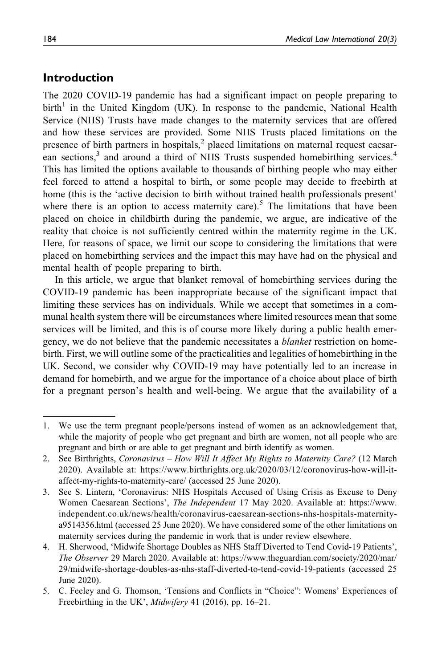### **Introduction**

The 2020 COVID-19 pandemic has had a significant impact on people preparing to birth<sup>1</sup> in the United Kingdom (UK). In response to the pandemic, National Health Service (NHS) Trusts have made changes to the maternity services that are offered and how these services are provided. Some NHS Trusts placed limitations on the presence of birth partners in hospitals, $<sup>2</sup>$  placed limitations on maternal request caesar-</sup> ean sections,<sup>3</sup> and around a third of NHS Trusts suspended homebirthing services.<sup>4</sup> This has limited the options available to thousands of birthing people who may either feel forced to attend a hospital to birth, or some people may decide to freebirth at home (this is the 'active decision to birth without trained health professionals present' where there is an option to access maternity care).<sup>5</sup> The limitations that have been placed on choice in childbirth during the pandemic, we argue, are indicative of the reality that choice is not sufficiently centred within the maternity regime in the UK. Here, for reasons of space, we limit our scope to considering the limitations that were placed on homebirthing services and the impact this may have had on the physical and mental health of people preparing to birth.

In this article, we argue that blanket removal of homebirthing services during the COVID-19 pandemic has been inappropriate because of the significant impact that limiting these services has on individuals. While we accept that sometimes in a communal health system there will be circumstances where limited resources mean that some services will be limited, and this is of course more likely during a public health emergency, we do not believe that the pandemic necessitates a *blanket* restriction on homebirth. First, we will outline some of the practicalities and legalities of homebirthing in the UK. Second, we consider why COVID-19 may have potentially led to an increase in demand for homebirth, and we argue for the importance of a choice about place of birth for a pregnant person's health and well-being. We argue that the availability of a

<sup>1.</sup> We use the term pregnant people/persons instead of women as an acknowledgement that, while the majority of people who get pregnant and birth are women, not all people who are pregnant and birth or are able to get pregnant and birth identify as women.

<sup>2.</sup> See Birthrights, Coronavirus – How Will It Affect My Rights to Maternity Care? (12 March 2020). Available at: [https://www.birthrights.org.uk/2020/03/12/coronovirus-how-will-it](https://www.birthrights.org.uk/2020/03/12/coronovirus-how-will-it-affect-my-rights-to-maternity-care/)[affect-my-rights-to-maternity-care/](https://www.birthrights.org.uk/2020/03/12/coronovirus-how-will-it-affect-my-rights-to-maternity-care/) (accessed 25 June 2020).

<sup>3.</sup> See S. Lintern, 'Coronavirus: NHS Hospitals Accused of Using Crisis as Excuse to Deny Women Caesarean Sections', The Independent 17 May 2020. Available at: [https://www.](https://www.independent.co.uk/news/health/coronavirus-caesarean-sections-nhs-hospitals-maternity-a9514356.html) [independent.co.uk/news/health/coronavirus-caesarean-sections-nhs-hospitals-maternity](https://www.independent.co.uk/news/health/coronavirus-caesarean-sections-nhs-hospitals-maternity-a9514356.html)[a9514356.html](https://www.independent.co.uk/news/health/coronavirus-caesarean-sections-nhs-hospitals-maternity-a9514356.html) (accessed 25 June 2020). We have considered some of the other limitations on maternity services during the pandemic in work that is under review elsewhere.

<sup>4.</sup> H. Sherwood, 'Midwife Shortage Doubles as NHS Staff Diverted to Tend Covid-19 Patients', The Observer 29 March 2020. Available at: [https://www.theguardian.com/society/2020/mar/](https://www.theguardian.com/society/2020/mar/29/midwife-shortage-doubles-as-nhs-staff-diverted-to-tend-covid-19-patients) [29/midwife-shortage-doubles-as-nhs-staff-diverted-to-tend-covid-19-patients](https://www.theguardian.com/society/2020/mar/29/midwife-shortage-doubles-as-nhs-staff-diverted-to-tend-covid-19-patients) (accessed 25 June 2020).

<sup>5.</sup> C. Feeley and G. Thomson, 'Tensions and Conflicts in "Choice": Womens' Experiences of Freebirthing in the UK', *Midwifery* 41 (2016), pp. 16–21.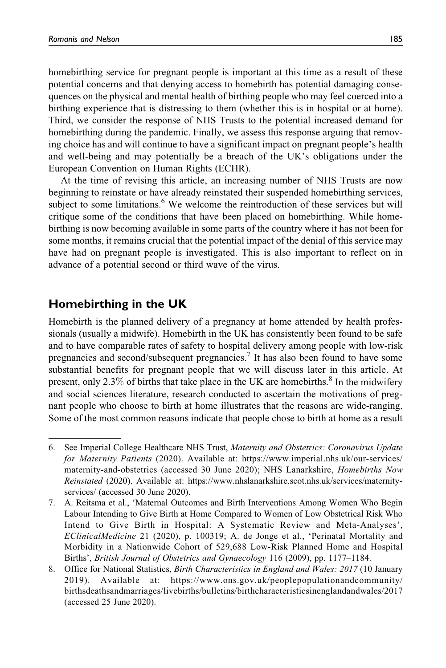homebirthing service for pregnant people is important at this time as a result of these potential concerns and that denying access to homebirth has potential damaging consequences on the physical and mental health of birthing people who may feel coerced into a birthing experience that is distressing to them (whether this is in hospital or at home). Third, we consider the response of NHS Trusts to the potential increased demand for homebirthing during the pandemic. Finally, we assess this response arguing that removing choice has and will continue to have a significant impact on pregnant people's health and well-being and may potentially be a breach of the UK's obligations under the European Convention on Human Rights (ECHR).

At the time of revising this article, an increasing number of NHS Trusts are now beginning to reinstate or have already reinstated their suspended homebirthing services, subject to some limitations.<sup>6</sup> We welcome the reintroduction of these services but will critique some of the conditions that have been placed on homebirthing. While homebirthing is now becoming available in some parts of the country where it has not been for some months, it remains crucial that the potential impact of the denial of this service may have had on pregnant people is investigated. This is also important to reflect on in advance of a potential second or third wave of the virus.

## **Homebirthing in the UK**

Homebirth is the planned delivery of a pregnancy at home attended by health professionals (usually a midwife). Homebirth in the UK has consistently been found to be safe and to have comparable rates of safety to hospital delivery among people with low-risk pregnancies and second/subsequent pregnancies.7 It has also been found to have some substantial benefits for pregnant people that we will discuss later in this article. At present, only 2.3% of births that take place in the UK are homebirths.<sup>8</sup> In the midwifery and social sciences literature, research conducted to ascertain the motivations of pregnant people who choose to birth at home illustrates that the reasons are wide-ranging. Some of the most common reasons indicate that people chose to birth at home as a result

<sup>6.</sup> See Imperial College Healthcare NHS Trust, Maternity and Obstetrics: Coronavirus Update for Maternity Patients (2020). Available at: [https://www.imperial.nhs.uk/our-services/](https://www.imperial.nhs.uk/our-services/maternity-and-obstetrics) [maternity-and-obstetrics](https://www.imperial.nhs.uk/our-services/maternity-and-obstetrics) (accessed 30 June 2020); NHS Lanarkshire, Homebirths Now Reinstated (2020). Available at: [https://www.nhslanarkshire.scot.nhs.uk/services/maternity](https://www.nhslanarkshire.scot.nhs.uk/services/maternity-services/)[services/](https://www.nhslanarkshire.scot.nhs.uk/services/maternity-services/) (accessed 30 June 2020).

<sup>7.</sup> A. Reitsma et al., 'Maternal Outcomes and Birth Interventions Among Women Who Begin Labour Intending to Give Birth at Home Compared to Women of Low Obstetrical Risk Who Intend to Give Birth in Hospital: A Systematic Review and Meta-Analyses', EClinicalMedicine 21 (2020), p. 100319; A. de Jonge et al., 'Perinatal Mortality and Morbidity in a Nationwide Cohort of 529,688 Low-Risk Planned Home and Hospital Births', British Journal of Obstetrics and Gynaecology 116 (2009), pp. 1177–1184.

<sup>8.</sup> Office for National Statistics, Birth Characteristics in England and Wales: 2017 (10 January 2019). Available at: [https://www.ons.gov.uk/peoplepopulationandcommunity/](https://www.ons.gov.uk/peoplepopulationandcommunity/birthsdeathsandmarriages/livebirths/bulletins/birthcharacteristicsinenglandandwales/2017) [birthsdeathsandmarriages/livebirths/bulletins/birthcharacteristicsinenglandandwales/2017](https://www.ons.gov.uk/peoplepopulationandcommunity/birthsdeathsandmarriages/livebirths/bulletins/birthcharacteristicsinenglandandwales/2017) (accessed 25 June 2020).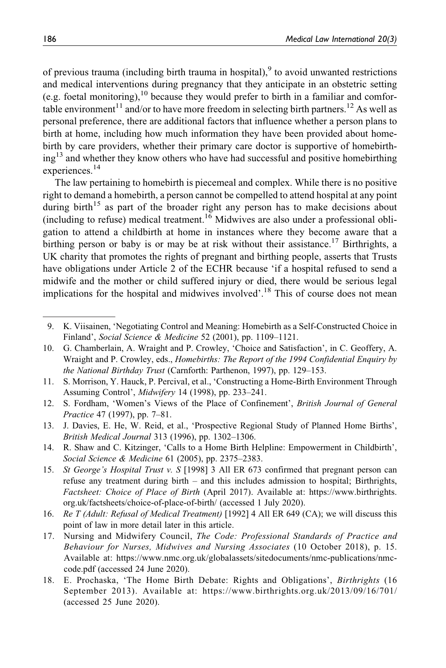of previous trauma (including birth trauma in hospital),  $9$  to avoid unwanted restrictions and medical interventions during pregnancy that they anticipate in an obstetric setting (e.g. foetal monitoring),  $^{10}$  because they would prefer to birth in a familiar and comfortable environment<sup>11</sup> and/or to have more freedom in selecting birth partners.<sup>12</sup> As well as personal preference, there are additional factors that influence whether a person plans to birth at home, including how much information they have been provided about homebirth by care providers, whether their primary care doctor is supportive of homebirthing<sup>13</sup> and whether they know others who have had successful and positive homebirthing experiences.<sup>14</sup>

The law pertaining to homebirth is piecemeal and complex. While there is no positive right to demand a homebirth, a person cannot be compelled to attend hospital at any point during birth<sup>15</sup> as part of the broader right any person has to make decisions about (including to refuse) medical treatment.<sup>16</sup> Midwives are also under a professional obligation to attend a childbirth at home in instances where they become aware that a birthing person or baby is or may be at risk without their assistance.<sup>17</sup> Birthrights, a UK charity that promotes the rights of pregnant and birthing people, asserts that Trusts have obligations under Article 2 of the ECHR because 'if a hospital refused to send a midwife and the mother or child suffered injury or died, there would be serious legal implications for the hospital and midwives involved'.<sup>18</sup> This of course does not mean

- 11. S. Morrison, Y. Hauck, P. Percival, et al., 'Constructing a Home-Birth Environment Through Assuming Control', Midwifery 14 (1998), pp. 233–241.
- 12. S. Fordham, 'Women's Views of the Place of Confinement', British Journal of General Practice 47 (1997), pp. 7–81.
- 13. J. Davies, E. He, W. Reid, et al., 'Prospective Regional Study of Planned Home Births', British Medical Journal 313 (1996), pp. 1302–1306.
- 14. R. Shaw and C. Kitzinger, 'Calls to a Home Birth Helpline: Empowerment in Childbirth', Social Science & Medicine 61 (2005), pp. 2375–2383.
- 15. St George's Hospital Trust v. S [1998] 3 All ER 673 confirmed that pregnant person can refuse any treatment during birth – and this includes admission to hospital; Birthrights, Factsheet: Choice of Place of Birth (April 2017). Available at: [https://www.birthrights.](https://www.birthrights.org.uk/factsheets/choice-of-place-of-birth/) [org.uk/factsheets/choice-of-place-of-birth/](https://www.birthrights.org.uk/factsheets/choice-of-place-of-birth/) (accessed 1 July 2020).
- 16. Re T (Adult: Refusal of Medical Treatment) [1992] 4 All ER 649 (CA); we will discuss this point of law in more detail later in this article.
- 17. Nursing and Midwifery Council, The Code: Professional Standards of Practice and Behaviour for Nurses, Midwives and Nursing Associates (10 October 2018), p. 15. Available at: [https://www.nmc.org.uk/globalassets/sitedocuments/nmc-publications/nmc](https://www.nmc.org.uk/globalassets/sitedocuments/nmc-publications/nmc-code.pdf)[code.pdf](https://www.nmc.org.uk/globalassets/sitedocuments/nmc-publications/nmc-code.pdf) (accessed 24 June 2020).
- 18. E. Prochaska, 'The Home Birth Debate: Rights and Obligations', Birthrights (16 September 2013). Available at:<https://www.birthrights.org.uk/2013/09/16/701/> (accessed 25 June 2020).

<sup>9.</sup> K. Viisainen, 'Negotiating Control and Meaning: Homebirth as a Self-Constructed Choice in Finland', Social Science & Medicine 52 (2001), pp. 1109–1121.

<sup>10.</sup> G. Chamberlain, A. Wraight and P. Crowley, 'Choice and Satisfaction', in C. Geoffery, A. Wraight and P. Crowley, eds., Homebirths: The Report of the 1994 Confidential Enquiry by the National Birthday Trust (Carnforth: Parthenon, 1997), pp. 129–153.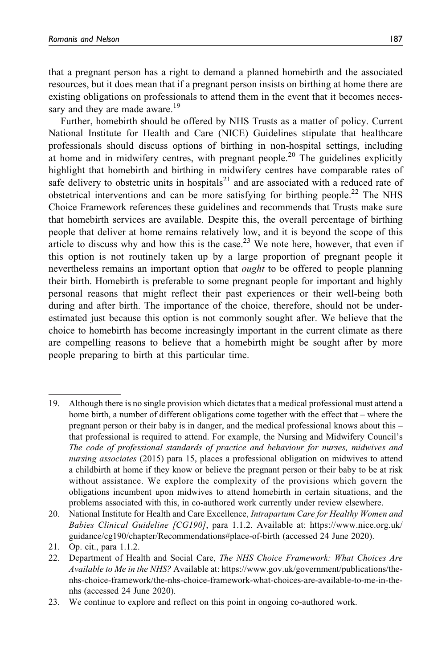that a pregnant person has a right to demand a planned homebirth and the associated resources, but it does mean that if a pregnant person insists on birthing at home there are existing obligations on professionals to attend them in the event that it becomes necessary and they are made aware.<sup>19</sup>

Further, homebirth should be offered by NHS Trusts as a matter of policy. Current National Institute for Health and Care (NICE) Guidelines stipulate that healthcare professionals should discuss options of birthing in non-hospital settings, including at home and in midwifery centres, with pregnant people.<sup>20</sup> The guidelines explicitly highlight that homebirth and birthing in midwifery centres have comparable rates of safe delivery to obstetric units in hospitals<sup>21</sup> and are associated with a reduced rate of obstetrical interventions and can be more satisfying for birthing people.<sup>22</sup> The NHS Choice Framework references these guidelines and recommends that Trusts make sure that homebirth services are available. Despite this, the overall percentage of birthing people that deliver at home remains relatively low, and it is beyond the scope of this article to discuss why and how this is the case.<sup>23</sup> We note here, however, that even if this option is not routinely taken up by a large proportion of pregnant people it nevertheless remains an important option that *ought* to be offered to people planning their birth. Homebirth is preferable to some pregnant people for important and highly personal reasons that might reflect their past experiences or their well-being both during and after birth. The importance of the choice, therefore, should not be underestimated just because this option is not commonly sought after. We believe that the choice to homebirth has become increasingly important in the current climate as there are compelling reasons to believe that a homebirth might be sought after by more people preparing to birth at this particular time.

<sup>19.</sup> Although there is no single provision which dictates that a medical professional must attend a home birth, a number of different obligations come together with the effect that – where the pregnant person or their baby is in danger, and the medical professional knows about this – that professional is required to attend. For example, the Nursing and Midwifery Council's The code of professional standards of practice and behaviour for nurses, midwives and nursing associates (2015) para 15, places a professional obligation on midwives to attend a childbirth at home if they know or believe the pregnant person or their baby to be at risk without assistance. We explore the complexity of the provisions which govern the obligations incumbent upon midwives to attend homebirth in certain situations, and the problems associated with this, in co-authored work currently under review elsewhere.

<sup>20.</sup> National Institute for Health and Care Excellence, Intrapartum Care for Healthy Women and Babies Clinical Guideline [CG190], para 1.1.2. Available at: [https://www.nice.org.uk/](https://www.nice.org.uk/guidance/cg190/chapter/Recommendations#place-of-birth) [guidance/cg190/chapter/Recommendations#place-of-birth](https://www.nice.org.uk/guidance/cg190/chapter/Recommendations#place-of-birth) (accessed 24 June 2020).

<sup>21.</sup> Op. cit., para 1.1.2.

<sup>22.</sup> Department of Health and Social Care, The NHS Choice Framework: What Choices Are Available to Me in the NHS? Available at: [https://www.gov.uk/government/publications/the](https://www.gov.uk/government/publications/the-nhs-choice-framework/the-nhs-choice-framework-what-choices-are-available-to-me-in-the-nhs)[nhs-choice-framework/the-nhs-choice-framework-what-choices-are-available-to-me-in-the](https://www.gov.uk/government/publications/the-nhs-choice-framework/the-nhs-choice-framework-what-choices-are-available-to-me-in-the-nhs)[nhs](https://www.gov.uk/government/publications/the-nhs-choice-framework/the-nhs-choice-framework-what-choices-are-available-to-me-in-the-nhs) (accessed 24 June 2020).

<sup>23.</sup> We continue to explore and reflect on this point in ongoing co-authored work.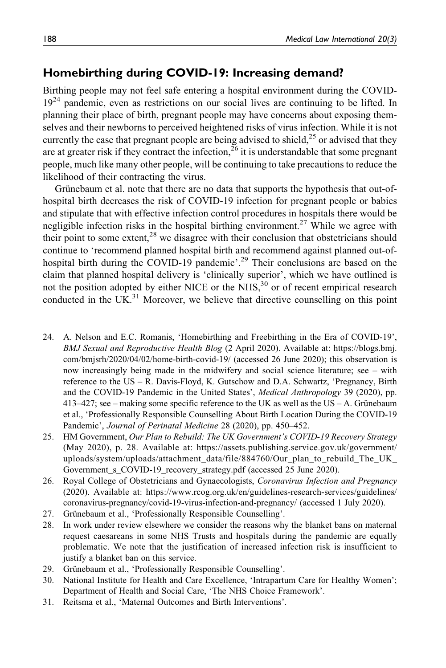## **Homebirthing during COVID-19: Increasing demand?**

Birthing people may not feel safe entering a hospital environment during the COVID- $19<sup>24</sup>$  pandemic, even as restrictions on our social lives are continuing to be lifted. In planning their place of birth, pregnant people may have concerns about exposing themselves and their newborns to perceived heightened risks of virus infection. While it is not currently the case that pregnant people are being advised to shield,  $^{25}$  or advised that they are at greater risk if they contract the infection,  $^{26}$  it is understandable that some pregnant people, much like many other people, will be continuing to take precautions to reduce the likelihood of their contracting the virus.

Grünebaum et al. note that there are no data that supports the hypothesis that out-ofhospital birth decreases the risk of COVID-19 infection for pregnant people or babies and stipulate that with effective infection control procedures in hospitals there would be negligible infection risks in the hospital birthing environment.<sup>27</sup> While we agree with their point to some extent,<sup>28</sup> we disagree with their conclusion that obstetricians should continue to 'recommend planned hospital birth and recommend against planned out-ofhospital birth during the COVID-19 pandemic'.<sup>29</sup> Their conclusions are based on the claim that planned hospital delivery is 'clinically superior', which we have outlined is not the position adopted by either NICE or the NHS, $30$  or of recent empirical research conducted in the  $UK^{31}$  Moreover, we believe that directive counselling on this point

- 26. Royal College of Obstetricians and Gynaecologists, Coronavirus Infection and Pregnancy (2020). Available at: [https://www.rcog.org.uk/en/guidelines-research-services/guidelines/](https://www.rcog.org.uk/en/guidelines-research-services/guidelines/coronavirus-pregnancy/covid-19-virus-infection-and-pregnancy/) [coronavirus-pregnancy/covid-19-virus-infection-and-pregnancy/](https://www.rcog.org.uk/en/guidelines-research-services/guidelines/coronavirus-pregnancy/covid-19-virus-infection-and-pregnancy/) (accessed 1 July 2020).
- 27. Grünebaum et al., 'Professionally Responsible Counselling'.
- 28. In work under review elsewhere we consider the reasons why the blanket bans on maternal request caesareans in some NHS Trusts and hospitals during the pandemic are equally problematic. We note that the justification of increased infection risk is insufficient to justify a blanket ban on this service.
- 29. Grünebaum et al., 'Professionally Responsible Counselling'.
- 30. National Institute for Health and Care Excellence, 'Intrapartum Care for Healthy Women'; Department of Health and Social Care, 'The NHS Choice Framework'.
- 31. Reitsma et al., 'Maternal Outcomes and Birth Interventions'.

<sup>24.</sup> A. Nelson and E.C. Romanis, 'Homebirthing and Freebirthing in the Era of COVID-19', BMJ Sexual and Reproductive Health Blog (2 April 2020). Available at: [https://blogs.bmj.](https://blogs.bmj.com/bmjsrh/2020/04/02/home-birth-covid-19/) [com/bmjsrh/2020/04/02/home-birth-covid-19/](https://blogs.bmj.com/bmjsrh/2020/04/02/home-birth-covid-19/) (accessed 26 June 2020); this observation is now increasingly being made in the midwifery and social science literature; see – with reference to the US – R. Davis-Floyd, K. Gutschow and D.A. Schwartz, 'Pregnancy, Birth and the COVID-19 Pandemic in the United States', Medical Anthropology 39 (2020), pp.  $413-427$ ; see – making some specific reference to the UK as well as the US – A. Grünebaum et al., 'Professionally Responsible Counselling About Birth Location During the COVID-19 Pandemic', Journal of Perinatal Medicine 28 (2020), pp. 450–452.

<sup>25.</sup> HM Government, Our Plan to Rebuild: The UK Government's COVID-19 Recovery Strategy (May 2020), p. 28. Available at: [https://assets.publishing.service.gov.uk/government/](https://assets.publishing.service.gov.uk/government/uploads/system/uploads/attachment_data/file/884760/Our_plan_to_rebuild_The_UK_Government_s_COVID-19_recovery_strategy.pdf) [uploads/system/uploads/attachment\\_data/file/884760/Our\\_plan\\_to\\_rebuild\\_The\\_UK\\_](https://assets.publishing.service.gov.uk/government/uploads/system/uploads/attachment_data/file/884760/Our_plan_to_rebuild_The_UK_Government_s_COVID-19_recovery_strategy.pdf) [Government\\_s\\_COVID-19\\_recovery\\_strategy.pdf](https://assets.publishing.service.gov.uk/government/uploads/system/uploads/attachment_data/file/884760/Our_plan_to_rebuild_The_UK_Government_s_COVID-19_recovery_strategy.pdf) (accessed 25 June 2020).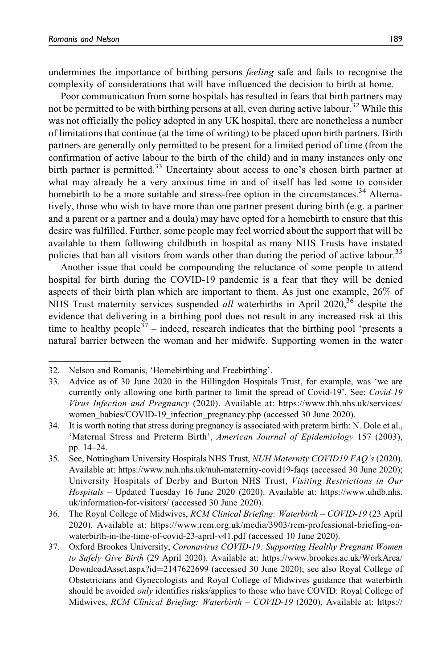undermines the importance of birthing persons *feeling* safe and fails to recognise the complexity of considerations that will have influenced the decision to birth at home.

Poor communication from some hospitals has resulted in fears that birth partners may not be permitted to be with birthing persons at all, even during active labour.<sup>32</sup> While this was not officially the policy adopted in any UK hospital, there are nonetheless a number of limitations that continue (at the time of writing) to be placed upon birth partners. Birth partners are generally only permitted to be present for a limited period of time (from the confirmation of active labour to the birth of the child) and in many instances only one birth partner is permitted.<sup>33</sup> Uncertainty about access to one's chosen birth partner at what may already be a very anxious time in and of itself has led some to consider homebirth to be a more suitable and stress-free option in the circumstances.<sup>34</sup> Alternatively, those who wish to have more than one partner present during birth (e.g. a partner and a parent or a partner and a doula) may have opted for a homebirth to ensure that this desire was fulfilled. Further, some people may feel worried about the support that will be available to them following childbirth in hospital as many NHS Trusts have instated policies that ban all visitors from wards other than during the period of active labour.<sup>35</sup>

Another issue that could be compounding the reluctance of some people to attend hospital for birth during the COVID-19 pandemic is a fear that they will be denied aspects of their birth plan which are important to them. As just one example, 26% of NHS Trust maternity services suspended *all* waterbirths in April 2020,<sup>36</sup> despite the evidence that delivering in a birthing pool does not result in any increased risk at this time to healthy people<sup>37</sup> – indeed, research indicates that the birthing pool 'presents a natural barrier between the woman and her midwife. Supporting women in the water

- 33. Advice as of 30 June 2020 in the Hillingdon Hospitals Trust, for example, was 'we are currently only allowing one birth partner to limit the spread of Covid-19'. See: Covid-19 Virus Infection and Pregnancy (2020). Available at: [https://www.thh.nhs.uk/services/](https://www.thh.nhs.uk/services/women_babies/COVID-19_infection_pregnancy.php) [women\\_babies/COVID-19\\_infection\\_pregnancy.php](https://www.thh.nhs.uk/services/women_babies/COVID-19_infection_pregnancy.php) (accessed 30 June 2020).
- 34. It is worth noting that stress during pregnancy is associated with preterm birth: N. Dole et al., 'Maternal Stress and Preterm Birth', American Journal of Epidemiology 157 (2003), pp. 14–24.
- 35. See, Nottingham University Hospitals NHS Trust, NUH Maternity COVID19 FAQ's (2020). Available at:<https://www.nuh.nhs.uk/nuh-maternity-covid19-faqs> (accessed 30 June 2020); University Hospitals of Derby and Burton NHS Trust, Visiting Restrictions in Our Hospitals – Updated Tuesday 16 June 2020 (2020). Available at: [https://www.uhdb.nhs.](https://www.uhdb.nhs.uk/information-for-visitors/) [uk/information-for-visitors/](https://www.uhdb.nhs.uk/information-for-visitors/) (accessed 30 June 2020).
- 36. The Royal College of Midwives, RCM Clinical Briefing: Waterbirth COVID-19 (23 April 2020). Available at: [https://www.rcm.org.uk/media/3903/rcm-professional-briefing-on](https://www.rcm.org.uk/media/3903/rcm-professional-briefing-on-waterbirth-in-the-time-of-covid-23-april-v41.pdf)[waterbirth-in-the-time-of-covid-23-april-v41.pdf](https://www.rcm.org.uk/media/3903/rcm-professional-briefing-on-waterbirth-in-the-time-of-covid-23-april-v41.pdf) (accessed 10 June 2020).
- 37. Oxford Brookes University, Coronavirus COVID-19: Supporting Healthy Pregnant Women to Safely Give Birth (29 April 2020). Available at: [https://www.brookes.ac.uk/WorkArea/](https://www.brookes.ac.uk/WorkArea/DownloadAsset.aspx?id=2147622699) [DownloadAsset.aspx?id](https://www.brookes.ac.uk/WorkArea/DownloadAsset.aspx?id=2147622699)=[2147622699](https://www.brookes.ac.uk/WorkArea/DownloadAsset.aspx?id=2147622699) (accessed 30 June 2020); see also Royal College of Obstetricians and Gynecologists and Royal College of Midwives guidance that waterbirth should be avoided only identifies risks/applies to those who have COVID: Royal College of Midwives, RCM Clinical Briefing: Waterbirth – COVID-19 (2020). Available at: [https://](https://www.rcm.org.uk/media/3903/rcm-professional-briefing-on-waterbirth-in-the-time-of-covid-23-april-v41.pdf)

<sup>32.</sup> Nelson and Romanis, 'Homebirthing and Freebirthing'.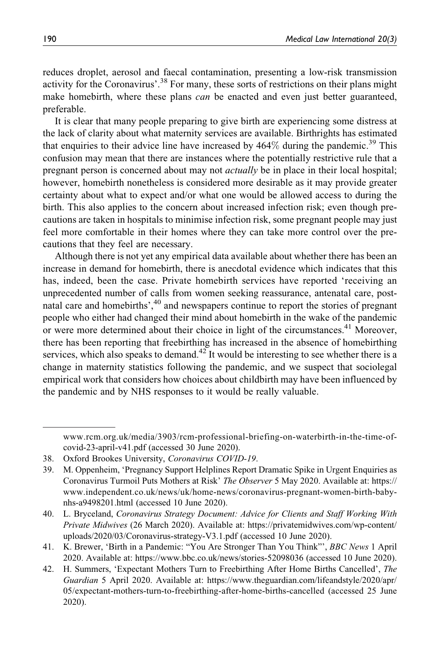reduces droplet, aerosol and faecal contamination, presenting a low-risk transmission activity for the Coronavirus'.<sup>38</sup> For many, these sorts of restrictions on their plans might make homebirth, where these plans *can* be enacted and even just better guaranteed, preferable.

It is clear that many people preparing to give birth are experiencing some distress at the lack of clarity about what maternity services are available. Birthrights has estimated that enquiries to their advice line have increased by  $464\%$  during the pandemic.<sup>39</sup> This confusion may mean that there are instances where the potentially restrictive rule that a pregnant person is concerned about may not *actually* be in place in their local hospital; however, homebirth nonetheless is considered more desirable as it may provide greater certainty about what to expect and/or what one would be allowed access to during the birth. This also applies to the concern about increased infection risk; even though precautions are taken in hospitals to minimise infection risk, some pregnant people may just feel more comfortable in their homes where they can take more control over the precautions that they feel are necessary.

Although there is not yet any empirical data available about whether there has been an increase in demand for homebirth, there is anecdotal evidence which indicates that this has, indeed, been the case. Private homebirth services have reported 'receiving an unprecedented number of calls from women seeking reassurance, antenatal care, postnatal care and homebirths',<sup>40</sup> and newspapers continue to report the stories of pregnant people who either had changed their mind about homebirth in the wake of the pandemic or were more determined about their choice in light of the circumstances.<sup>41</sup> Moreover, there has been reporting that freebirthing has increased in the absence of homebirthing services, which also speaks to demand.<sup>42</sup> It would be interesting to see whether there is a change in maternity statistics following the pandemic, and we suspect that sociolegal empirical work that considers how choices about childbirth may have been influenced by the pandemic and by NHS responses to it would be really valuable.

[www.rcm.org.uk/media/3903/rcm-professional-briefing-on-waterbirth-in-the-time-of](https://www.rcm.org.uk/media/3903/rcm-professional-briefing-on-waterbirth-in-the-time-of-covid-23-april-v41.pdf)[covid-23-april-v41.pdf](https://www.rcm.org.uk/media/3903/rcm-professional-briefing-on-waterbirth-in-the-time-of-covid-23-april-v41.pdf) (accessed 30 June 2020).

<sup>38.</sup> Oxford Brookes University, Coronavirus COVID-19.

<sup>39.</sup> M. Oppenheim, 'Pregnancy Support Helplines Report Dramatic Spike in Urgent Enquiries as Coronavirus Turmoil Puts Mothers at Risk' The Observer 5 May 2020. Available at: [https://](https://www.independent.co.uk/news/uk/home-news/coronavirus-pregnant-women-birth-baby-nhs-a9498201.html) [www.independent.co.uk/news/uk/home-news/coronavirus-pregnant-women-birth-baby](https://www.independent.co.uk/news/uk/home-news/coronavirus-pregnant-women-birth-baby-nhs-a9498201.html)[nhs-a9498201.html](https://www.independent.co.uk/news/uk/home-news/coronavirus-pregnant-women-birth-baby-nhs-a9498201.html) (accessed 10 June 2020).

<sup>40.</sup> L. Bryceland, Coronavirus Strategy Document: Advice for Clients and Staff Working With Private Midwives (26 March 2020). Available at: [https://privatemidwives.com/wp-content/](https://privatemidwives.com/wp-content/uploads/2020/03/Coronavirus-strategy-V3.1.pdf) [uploads/2020/03/Coronavirus-strategy-V3.1.pdf](https://privatemidwives.com/wp-content/uploads/2020/03/Coronavirus-strategy-V3.1.pdf) (accessed 10 June 2020).

<sup>41.</sup> K. Brewer, 'Birth in a Pandemic: "You Are Stronger Than You Think"', BBC News 1 April 2020. Available at:<https://www.bbc.co.uk/news/stories-52098036> (accessed 10 June 2020).

<sup>42.</sup> H. Summers, 'Expectant Mothers Turn to Freebirthing After Home Births Cancelled', The Guardian 5 April 2020. Available at: [https://www.theguardian.com/lifeandstyle/2020/apr/](https://www.theguardian.com/lifeandstyle/2020/apr/05/expectant-mothers-turn-to-freebirthing-after-home-births-cancelled) [05/expectant-mothers-turn-to-freebirthing-after-home-births-cancelled](https://www.theguardian.com/lifeandstyle/2020/apr/05/expectant-mothers-turn-to-freebirthing-after-home-births-cancelled) (accessed 25 June 2020).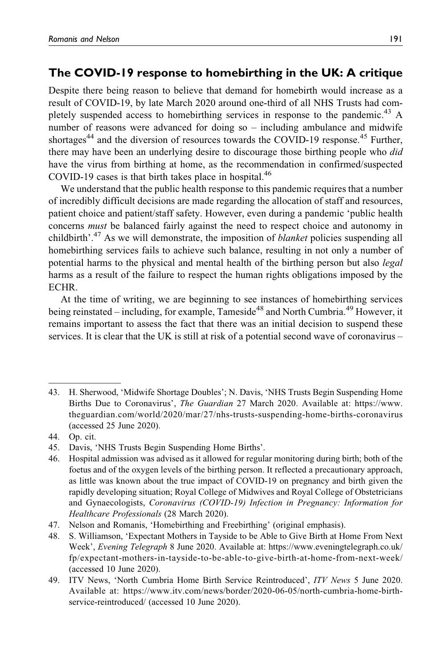## **The COVID-19 response to homebirthing in the UK: A critique**

Despite there being reason to believe that demand for homebirth would increase as a result of COVID-19, by late March 2020 around one-third of all NHS Trusts had completely suspended access to homebirthing services in response to the pandemic.<sup>43</sup> A number of reasons were advanced for doing so – including ambulance and midwife shortages<sup>44</sup> and the diversion of resources towards the COVID-19 response.<sup>45</sup> Further, there may have been an underlying desire to discourage those birthing people who did have the virus from birthing at home, as the recommendation in confirmed/suspected COVID-19 cases is that birth takes place in hospital. $46$ 

We understand that the public health response to this pandemic requires that a number of incredibly difficult decisions are made regarding the allocation of staff and resources, patient choice and patient/staff safety. However, even during a pandemic 'public health concerns must be balanced fairly against the need to respect choice and autonomy in childbirth'.<sup>47</sup> As we will demonstrate, the imposition of *blanket* policies suspending all homebirthing services fails to achieve such balance, resulting in not only a number of potential harms to the physical and mental health of the birthing person but also legal harms as a result of the failure to respect the human rights obligations imposed by the ECHR.

At the time of writing, we are beginning to see instances of homebirthing services being reinstated – including, for example, Tameside<sup>48</sup> and North Cumbria.<sup>49</sup> However, it remains important to assess the fact that there was an initial decision to suspend these services. It is clear that the UK is still at risk of a potential second wave of coronavirus –

<sup>43.</sup> H. Sherwood, 'Midwife Shortage Doubles'; N. Davis, 'NHS Trusts Begin Suspending Home Births Due to Coronavirus', The Guardian 27 March 2020. Available at: [https://www.](https://www.theguardian.com/world/2020/mar/27/nhs-trusts-suspending-home-births-coronavirus) [theguardian.com/world/2020/mar/27/nhs-trusts-suspending-home-births-coronavirus](https://www.theguardian.com/world/2020/mar/27/nhs-trusts-suspending-home-births-coronavirus) (accessed 25 June 2020).

<sup>44.</sup> Op. cit.

<sup>45.</sup> Davis, 'NHS Trusts Begin Suspending Home Births'.

<sup>46.</sup> Hospital admission was advised as it allowed for regular monitoring during birth; both of the foetus and of the oxygen levels of the birthing person. It reflected a precautionary approach, as little was known about the true impact of COVID-19 on pregnancy and birth given the rapidly developing situation; Royal College of Midwives and Royal College of Obstetricians and Gynaecologists, Coronavirus (COVID-19) Infection in Pregnancy: Information for Healthcare Professionals (28 March 2020).

<sup>47.</sup> Nelson and Romanis, 'Homebirthing and Freebirthing' (original emphasis).

<sup>48.</sup> S. Williamson, 'Expectant Mothers in Tayside to be Able to Give Birth at Home From Next Week', Evening Telegraph 8 June 2020. Available at: [https://www.eveningtelegraph.co.uk/](https://www.eveningtelegraph.co.uk/fp/expectant-mothers-in-tayside-to-be-able-to-give-birth-at-home-from-next-week/) [fp/expectant-mothers-in-tayside-to-be-able-to-give-birth-at-home-from-next-week/](https://www.eveningtelegraph.co.uk/fp/expectant-mothers-in-tayside-to-be-able-to-give-birth-at-home-from-next-week/) (accessed 10 June 2020).

<sup>49.</sup> ITV News, 'North Cumbria Home Birth Service Reintroduced', ITV News 5 June 2020. Available at: [https://www.itv.com/news/border/2020-06-05/north-cumbria-home-birth](https://www.itv.com/news/border/2020-06-05/north-cumbria-home-birth-service-reintroduced/)[service-reintroduced/](https://www.itv.com/news/border/2020-06-05/north-cumbria-home-birth-service-reintroduced/) (accessed 10 June 2020).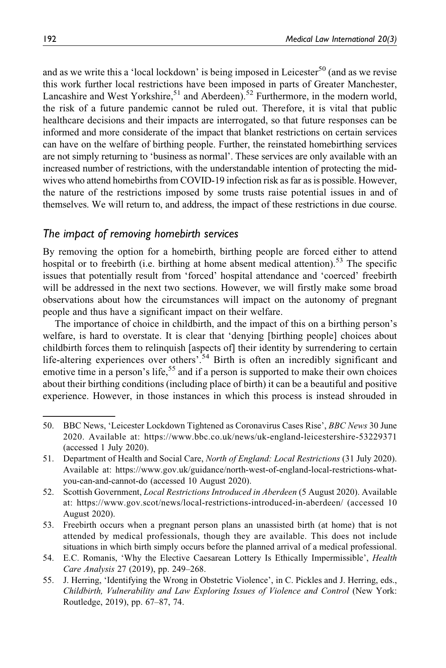and as we write this a 'local lockdown' is being imposed in Leicester<sup>50</sup> (and as we revise this work further local restrictions have been imposed in parts of Greater Manchester, Lancashire and West Yorkshire,<sup>51</sup> and Aberdeen).<sup>52</sup> Furthermore, in the modern world, the risk of a future pandemic cannot be ruled out. Therefore, it is vital that public healthcare decisions and their impacts are interrogated, so that future responses can be informed and more considerate of the impact that blanket restrictions on certain services can have on the welfare of birthing people. Further, the reinstated homebirthing services are not simply returning to 'business as normal'. These services are only available with an increased number of restrictions, with the understandable intention of protecting the midwives who attend homebirths from COVID-19 infection risk as far as is possible. However, the nature of the restrictions imposed by some trusts raise potential issues in and of themselves. We will return to, and address, the impact of these restrictions in due course.

#### *The impact of removing homebirth services*

By removing the option for a homebirth, birthing people are forced either to attend hospital or to freebirth (i.e. birthing at home absent medical attention).<sup>53</sup> The specific issues that potentially result from 'forced' hospital attendance and 'coerced' freebirth will be addressed in the next two sections. However, we will firstly make some broad observations about how the circumstances will impact on the autonomy of pregnant people and thus have a significant impact on their welfare.

The importance of choice in childbirth, and the impact of this on a birthing person's welfare, is hard to overstate. It is clear that 'denying [birthing people] choices about childbirth forces them to relinquish [aspects of] their identity by surrendering to certain life-altering experiences over others'.<sup>54</sup> Birth is often an incredibly significant and emotive time in a person's life,<sup>55</sup> and if a person is supported to make their own choices about their birthing conditions (including place of birth) it can be a beautiful and positive experience. However, in those instances in which this process is instead shrouded in

<sup>50.</sup> BBC News, 'Leicester Lockdown Tightened as Coronavirus Cases Rise', BBC News 30 June 2020. Available at:<https://www.bbc.co.uk/news/uk-england-leicestershire-53229371> (accessed 1 July 2020).

<sup>51.</sup> Department of Health and Social Care, North of England: Local Restrictions (31 July 2020). Available at: [https://www.gov.uk/guidance/north-west-of-england-local-restrictions-what](https://www.gov.uk/guidance/north-west-of-england-local-restrictions-what-you-can-and-cannot-do)[you-can-and-cannot-do](https://www.gov.uk/guidance/north-west-of-england-local-restrictions-what-you-can-and-cannot-do) (accessed 10 August 2020).

<sup>52.</sup> Scottish Government, Local Restrictions Introduced in Aberdeen (5 August 2020). Available at:<https://www.gov.scot/news/local-restrictions-introduced-in-aberdeen/> (accessed 10 August 2020).

<sup>53.</sup> Freebirth occurs when a pregnant person plans an unassisted birth (at home) that is not attended by medical professionals, though they are available. This does not include situations in which birth simply occurs before the planned arrival of a medical professional.

<sup>54.</sup> E.C. Romanis, 'Why the Elective Caesarean Lottery Is Ethically Impermissible', *Health* Care Analysis 27 (2019), pp. 249–268.

<sup>55.</sup> J. Herring, 'Identifying the Wrong in Obstetric Violence', in C. Pickles and J. Herring, eds., Childbirth, Vulnerability and Law Exploring Issues of Violence and Control (New York: Routledge, 2019), pp. 67–87, 74.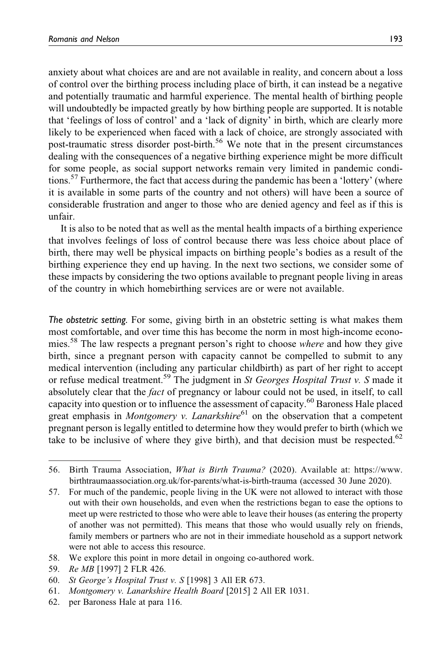anxiety about what choices are and are not available in reality, and concern about a loss of control over the birthing process including place of birth, it can instead be a negative and potentially traumatic and harmful experience. The mental health of birthing people will undoubtedly be impacted greatly by how birthing people are supported. It is notable that 'feelings of loss of control' and a 'lack of dignity' in birth, which are clearly more likely to be experienced when faced with a lack of choice, are strongly associated with post-traumatic stress disorder post-birth.<sup>56</sup> We note that in the present circumstances dealing with the consequences of a negative birthing experience might be more difficult for some people, as social support networks remain very limited in pandemic conditions.<sup>57</sup> Furthermore, the fact that access during the pandemic has been a 'lottery' (where it is available in some parts of the country and not others) will have been a source of considerable frustration and anger to those who are denied agency and feel as if this is unfair.

It is also to be noted that as well as the mental health impacts of a birthing experience that involves feelings of loss of control because there was less choice about place of birth, there may well be physical impacts on birthing people's bodies as a result of the birthing experience they end up having. In the next two sections, we consider some of these impacts by considering the two options available to pregnant people living in areas of the country in which homebirthing services are or were not available.

*The obstetric setting.* For some, giving birth in an obstetric setting is what makes them most comfortable, and over time this has become the norm in most high-income economies.<sup>58</sup> The law respects a pregnant person's right to choose *where* and how they give birth, since a pregnant person with capacity cannot be compelled to submit to any medical intervention (including any particular childbirth) as part of her right to accept or refuse medical treatment.<sup>59</sup> The judgment in St Georges Hospital Trust v. S made it absolutely clear that the fact of pregnancy or labour could not be used, in itself, to call capacity into question or to influence the assessment of capacity.<sup>60</sup> Baroness Hale placed great emphasis in Montgomery v. Lanarkshire $61$  on the observation that a competent pregnant person is legally entitled to determine how they would prefer to birth (which we take to be inclusive of where they give birth), and that decision must be respected.<sup>62</sup>

58. We explore this point in more detail in ongoing co-authored work.

<sup>56.</sup> Birth Trauma Association, What is Birth Trauma? (2020). Available at: [https://www.](https://www.birthtraumaassociation.org.uk/for-parents/what-is-birth-trauma) [birthtraumaassociation.org.uk/for-parents/what-is-birth-trauma](https://www.birthtraumaassociation.org.uk/for-parents/what-is-birth-trauma) (accessed 30 June 2020).

<sup>57.</sup> For much of the pandemic, people living in the UK were not allowed to interact with those out with their own households, and even when the restrictions began to ease the options to meet up were restricted to those who were able to leave their houses (as entering the property of another was not permitted). This means that those who would usually rely on friends, family members or partners who are not in their immediate household as a support network were not able to access this resource.

<sup>59.</sup> Re MB [1997] 2 FLR 426.

<sup>60.</sup> St George's Hospital Trust v. S [1998] 3 All ER 673.

<sup>61.</sup> Montgomery v. Lanarkshire Health Board [2015] 2 All ER 1031.

<sup>62.</sup> per Baroness Hale at para 116.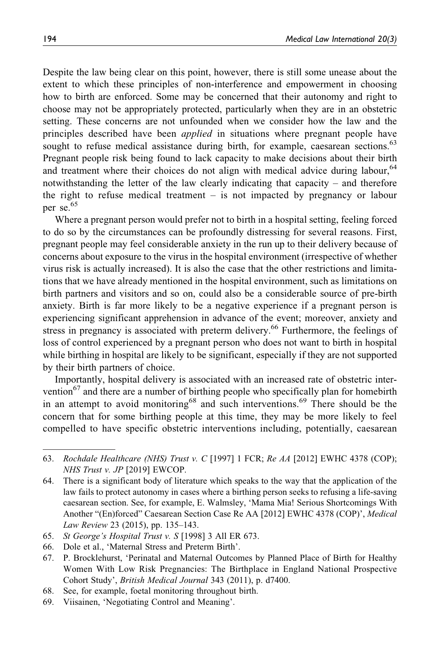Despite the law being clear on this point, however, there is still some unease about the extent to which these principles of non-interference and empowerment in choosing how to birth are enforced. Some may be concerned that their autonomy and right to choose may not be appropriately protected, particularly when they are in an obstetric setting. These concerns are not unfounded when we consider how the law and the principles described have been *applied* in situations where pregnant people have sought to refuse medical assistance during birth, for example, caesarean sections.<sup>63</sup> Pregnant people risk being found to lack capacity to make decisions about their birth and treatment where their choices do not align with medical advice during labour,<sup>64</sup> notwithstanding the letter of the law clearly indicating that capacity – and therefore the right to refuse medical treatment – is not impacted by pregnancy or labour per se.<sup>65</sup>

Where a pregnant person would prefer not to birth in a hospital setting, feeling forced to do so by the circumstances can be profoundly distressing for several reasons. First, pregnant people may feel considerable anxiety in the run up to their delivery because of concerns about exposure to the virus in the hospital environment (irrespective of whether virus risk is actually increased). It is also the case that the other restrictions and limitations that we have already mentioned in the hospital environment, such as limitations on birth partners and visitors and so on, could also be a considerable source of pre-birth anxiety. Birth is far more likely to be a negative experience if a pregnant person is experiencing significant apprehension in advance of the event; moreover, anxiety and stress in pregnancy is associated with preterm delivery.<sup>66</sup> Furthermore, the feelings of loss of control experienced by a pregnant person who does not want to birth in hospital while birthing in hospital are likely to be significant, especially if they are not supported by their birth partners of choice.

Importantly, hospital delivery is associated with an increased rate of obstetric intervention<sup>67</sup> and there are a number of birthing people who specifically plan for homebirth in an attempt to avoid monitoring<sup>68</sup> and such interventions.<sup>69</sup> There should be the concern that for some birthing people at this time, they may be more likely to feel compelled to have specific obstetric interventions including, potentially, caesarean

- 68. See, for example, foetal monitoring throughout birth.
- 69. Viisainen, 'Negotiating Control and Meaning'.

<sup>63.</sup> Rochdale Healthcare (NHS) Trust v. C [1997] 1 FCR; Re AA [2012] EWHC 4378 (COP); NHS Trust v. JP [2019] EWCOP.

<sup>64.</sup> There is a significant body of literature which speaks to the way that the application of the law fails to protect autonomy in cases where a birthing person seeks to refusing a life-saving caesarean section. See, for example, E. Walmsley, 'Mama Mia! Serious Shortcomings With Another "(En)forced" Caesarean Section Case Re AA [2012] EWHC 4378 (COP)', Medical Law Review 23 (2015), pp. 135–143.

<sup>65.</sup> St George's Hospital Trust v. S [1998] 3 All ER 673.

<sup>66.</sup> Dole et al., 'Maternal Stress and Preterm Birth'.

<sup>67.</sup> P. Brocklehurst, 'Perinatal and Maternal Outcomes by Planned Place of Birth for Healthy Women With Low Risk Pregnancies: The Birthplace in England National Prospective Cohort Study', British Medical Journal 343 (2011), p. d7400.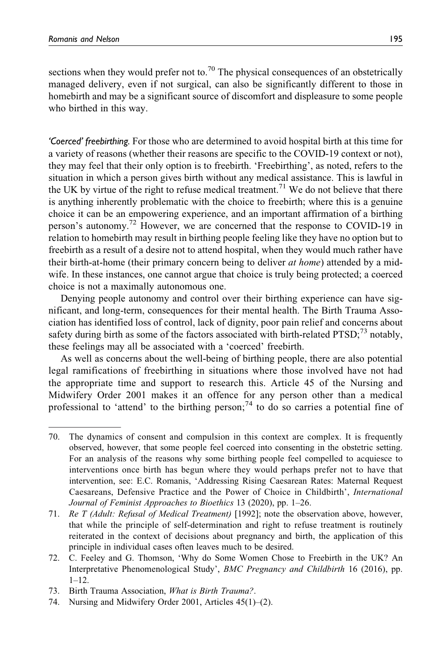sections when they would prefer not to.<sup>70</sup> The physical consequences of an obstetrically managed delivery, even if not surgical, can also be significantly different to those in homebirth and may be a significant source of discomfort and displeasure to some people who birthed in this way.

*'Coerced' freebirthing.* For those who are determined to avoid hospital birth at this time for a variety of reasons (whether their reasons are specific to the COVID-19 context or not), they may feel that their only option is to freebirth. 'Freebirthing', as noted, refers to the situation in which a person gives birth without any medical assistance. This is lawful in the UK by virtue of the right to refuse medical treatment.<sup>71</sup> We do not believe that there is anything inherently problematic with the choice to freebirth; where this is a genuine choice it can be an empowering experience, and an important affirmation of a birthing person's autonomy.<sup>72</sup> However, we are concerned that the response to COVID-19 in relation to homebirth may result in birthing people feeling like they have no option but to freebirth as a result of a desire not to attend hospital, when they would much rather have their birth-at-home (their primary concern being to deliver  $at home$ ) attended by a midwife. In these instances, one cannot argue that choice is truly being protected; a coerced choice is not a maximally autonomous one.

Denying people autonomy and control over their birthing experience can have significant, and long-term, consequences for their mental health. The Birth Trauma Association has identified loss of control, lack of dignity, poor pain relief and concerns about safety during birth as some of the factors associated with birth-related  $PTSD;^{73}$  notably, these feelings may all be associated with a 'coerced' freebirth.

As well as concerns about the well-being of birthing people, there are also potential legal ramifications of freebirthing in situations where those involved have not had the appropriate time and support to research this. Article 45 of the Nursing and Midwifery Order 2001 makes it an offence for any person other than a medical professional to 'attend' to the birthing person;<sup>74</sup> to do so carries a potential fine of

<sup>70.</sup> The dynamics of consent and compulsion in this context are complex. It is frequently observed, however, that some people feel coerced into consenting in the obstetric setting. For an analysis of the reasons why some birthing people feel compelled to acquiesce to interventions once birth has begun where they would perhaps prefer not to have that intervention, see: E.C. Romanis, 'Addressing Rising Caesarean Rates: Maternal Request Caesareans, Defensive Practice and the Power of Choice in Childbirth', International Journal of Feminist Approaches to Bioethics 13 (2020), pp. 1–26.

<sup>71.</sup> Re T (Adult: Refusal of Medical Treatment) [1992]; note the observation above, however, that while the principle of self-determination and right to refuse treatment is routinely reiterated in the context of decisions about pregnancy and birth, the application of this principle in individual cases often leaves much to be desired.

<sup>72.</sup> C. Feeley and G. Thomson, 'Why do Some Women Chose to Freebirth in the UK? An Interpretative Phenomenological Study', BMC Pregnancy and Childbirth 16 (2016), pp. 1–12.

<sup>73.</sup> Birth Trauma Association, What is Birth Trauma?.

<sup>74.</sup> Nursing and Midwifery Order 2001, Articles 45(1)–(2).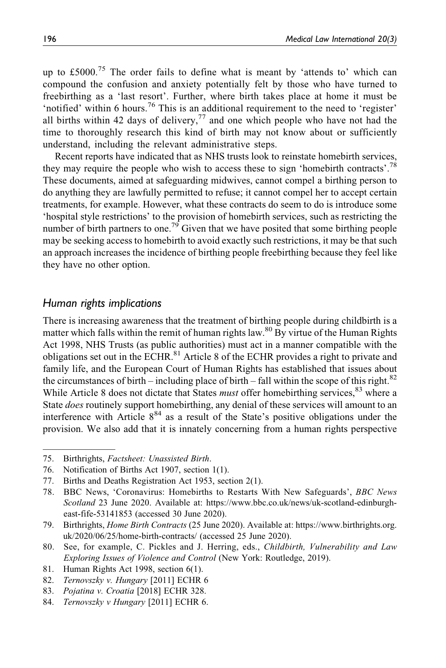up to £5000.<sup>75</sup> The order fails to define what is meant by 'attends to' which can compound the confusion and anxiety potentially felt by those who have turned to freebirthing as a 'last resort'. Further, where birth takes place at home it must be 'notified' within 6 hours.<sup>76</sup> This is an additional requirement to the need to 'register' all births within 42 days of delivery,  $77$  and one which people who have not had the time to thoroughly research this kind of birth may not know about or sufficiently understand, including the relevant administrative steps.

Recent reports have indicated that as NHS trusts look to reinstate homebirth services, they may require the people who wish to access these to sign 'homebirth contracts'.<sup>78</sup> These documents, aimed at safeguarding midwives, cannot compel a birthing person to do anything they are lawfully permitted to refuse; it cannot compel her to accept certain treatments, for example. However, what these contracts do seem to do is introduce some 'hospital style restrictions' to the provision of homebirth services, such as restricting the number of birth partners to one.<sup>79</sup> Given that we have posited that some birthing people may be seeking access to homebirth to avoid exactly such restrictions, it may be that such an approach increases the incidence of birthing people freebirthing because they feel like they have no other option.

#### *Human rights implications*

There is increasing awareness that the treatment of birthing people during childbirth is a matter which falls within the remit of human rights law.<sup>80</sup> By virtue of the Human Rights Act 1998, NHS Trusts (as public authorities) must act in a manner compatible with the obligations set out in the ECHR. $^{81}$  Article 8 of the ECHR provides a right to private and family life, and the European Court of Human Rights has established that issues about the circumstances of birth – including place of birth – fall within the scope of this right.<sup>82</sup> While Article 8 does not dictate that States *must* offer homebirthing services, <sup>83</sup> where a State *does* routinely support homebirthing, any denial of these services will amount to an interference with Article  $8^{84}$  as a result of the State's positive obligations under the provision. We also add that it is innately concerning from a human rights perspective

<sup>75.</sup> Birthrights, Factsheet: Unassisted Birth.

<sup>76.</sup> Notification of Births Act 1907, section 1(1).

<sup>77.</sup> Births and Deaths Registration Act 1953, section 2(1).

<sup>78.</sup> BBC News, 'Coronavirus: Homebirths to Restarts With New Safeguards', BBC News Scotland 23 June 2020. Available at: [https://www.bbc.co.uk/news/uk-scotland-edinburgh](https://www.bbc.co.uk/news/uk-scotland-edinburgh-east-fife-53141853)[east-fife-53141853](https://www.bbc.co.uk/news/uk-scotland-edinburgh-east-fife-53141853) (accessed 30 June 2020).

<sup>79.</sup> Birthrights, Home Birth Contracts (25 June 2020). Available at: [https://www.birthrights.org.](https://www.birthrights.org.uk/2020/06/25/home-birth-contracts/) [uk/2020/06/25/home-birth-contracts/](https://www.birthrights.org.uk/2020/06/25/home-birth-contracts/) (accessed 25 June 2020).

<sup>80.</sup> See, for example, C. Pickles and J. Herring, eds., Childbirth, Vulnerability and Law Exploring Issues of Violence and Control (New York: Routledge, 2019).

<sup>81.</sup> Human Rights Act 1998, section 6(1).

<sup>82.</sup> Ternovszky v. Hungary [2011] ECHR 6

<sup>83.</sup> Pojatina v. Croatia [2018] ECHR 328.

<sup>84.</sup> Ternovszky v Hungary [2011] ECHR 6.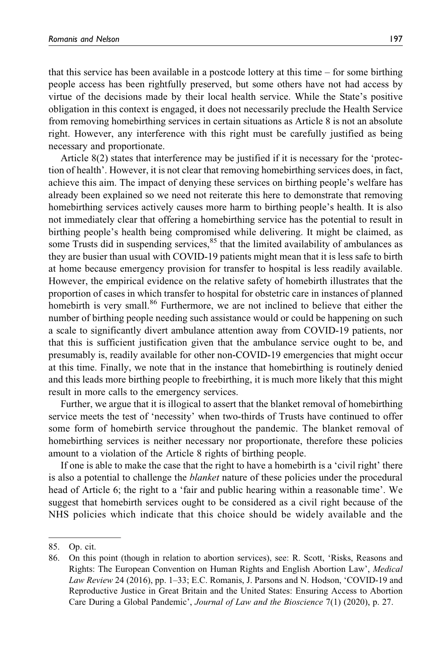that this service has been available in a postcode lottery at this time – for some birthing people access has been rightfully preserved, but some others have not had access by virtue of the decisions made by their local health service. While the State's positive obligation in this context is engaged, it does not necessarily preclude the Health Service from removing homebirthing services in certain situations as Article 8 is not an absolute right. However, any interference with this right must be carefully justified as being necessary and proportionate.

Article 8(2) states that interference may be justified if it is necessary for the 'protection of health'. However, it is not clear that removing homebirthing services does, in fact, achieve this aim. The impact of denying these services on birthing people's welfare has already been explained so we need not reiterate this here to demonstrate that removing homebirthing services actively causes more harm to birthing people's health. It is also not immediately clear that offering a homebirthing service has the potential to result in birthing people's health being compromised while delivering. It might be claimed, as some Trusts did in suspending services, $85$  that the limited availability of ambulances as they are busier than usual with COVID-19 patients might mean that it is less safe to birth at home because emergency provision for transfer to hospital is less readily available. However, the empirical evidence on the relative safety of homebirth illustrates that the proportion of cases in which transfer to hospital for obstetric care in instances of planned homebirth is very small.<sup>86</sup> Furthermore, we are not inclined to believe that either the number of birthing people needing such assistance would or could be happening on such a scale to significantly divert ambulance attention away from COVID-19 patients, nor that this is sufficient justification given that the ambulance service ought to be, and presumably is, readily available for other non-COVID-19 emergencies that might occur at this time. Finally, we note that in the instance that homebirthing is routinely denied and this leads more birthing people to freebirthing, it is much more likely that this might result in more calls to the emergency services.

Further, we argue that it is illogical to assert that the blanket removal of homebirthing service meets the test of 'necessity' when two-thirds of Trusts have continued to offer some form of homebirth service throughout the pandemic. The blanket removal of homebirthing services is neither necessary nor proportionate, therefore these policies amount to a violation of the Article 8 rights of birthing people.

If one is able to make the case that the right to have a homebirth is a 'civil right' there is also a potential to challenge the blanket nature of these policies under the procedural head of Article 6; the right to a 'fair and public hearing within a reasonable time'. We suggest that homebirth services ought to be considered as a civil right because of the NHS policies which indicate that this choice should be widely available and the

<sup>85.</sup> Op. cit.

<sup>86.</sup> On this point (though in relation to abortion services), see: R. Scott, 'Risks, Reasons and Rights: The European Convention on Human Rights and English Abortion Law', Medical Law Review 24 (2016), pp. 1–33; E.C. Romanis, J. Parsons and N. Hodson, 'COVID-19 and Reproductive Justice in Great Britain and the United States: Ensuring Access to Abortion Care During a Global Pandemic', Journal of Law and the Bioscience 7(1) (2020), p. 27.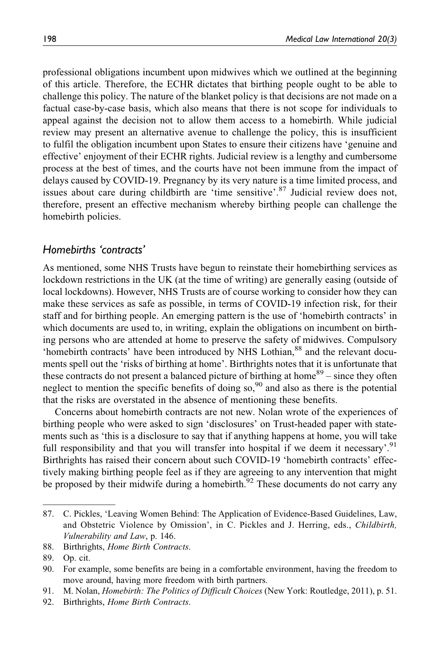professional obligations incumbent upon midwives which we outlined at the beginning of this article. Therefore, the ECHR dictates that birthing people ought to be able to challenge this policy. The nature of the blanket policy is that decisions are not made on a factual case-by-case basis, which also means that there is not scope for individuals to appeal against the decision not to allow them access to a homebirth. While judicial review may present an alternative avenue to challenge the policy, this is insufficient to fulfil the obligation incumbent upon States to ensure their citizens have 'genuine and effective' enjoyment of their ECHR rights. Judicial review is a lengthy and cumbersome process at the best of times, and the courts have not been immune from the impact of delays caused by COVID-19. Pregnancy by its very nature is a time limited process, and issues about care during childbirth are 'time sensitive'.<sup>87</sup> Judicial review does not, therefore, present an effective mechanism whereby birthing people can challenge the homebirth policies.

#### *Homebirths 'contracts'*

As mentioned, some NHS Trusts have begun to reinstate their homebirthing services as lockdown restrictions in the UK (at the time of writing) are generally easing (outside of local lockdowns). However, NHS Trusts are of course working to consider how they can make these services as safe as possible, in terms of COVID-19 infection risk, for their staff and for birthing people. An emerging pattern is the use of 'homebirth contracts' in which documents are used to, in writing, explain the obligations on incumbent on birthing persons who are attended at home to preserve the safety of midwives. Compulsory 'homebirth contracts' have been introduced by NHS Lothian,<sup>88</sup> and the relevant documents spell out the 'risks of birthing at home'. Birthrights notes that it is unfortunate that these contracts do not present a balanced picture of birthing at home $89$  – since they often neglect to mention the specific benefits of doing so,<sup>90</sup> and also as there is the potential that the risks are overstated in the absence of mentioning these benefits.

Concerns about homebirth contracts are not new. Nolan wrote of the experiences of birthing people who were asked to sign 'disclosures' on Trust-headed paper with statements such as 'this is a disclosure to say that if anything happens at home, you will take full responsibility and that you will transfer into hospital if we deem it necessary'.<sup>91</sup> Birthrights has raised their concern about such COVID-19 'homebirth contracts' effectively making birthing people feel as if they are agreeing to any intervention that might be proposed by their midwife during a homebirth.<sup>92</sup> These documents do not carry any

<sup>87.</sup> C. Pickles, 'Leaving Women Behind: The Application of Evidence-Based Guidelines, Law, and Obstetric Violence by Omission', in C. Pickles and J. Herring, eds., Childbirth, Vulnerability and Law, p. 146.

<sup>88.</sup> Birthrights, Home Birth Contracts.

<sup>89.</sup> Op. cit.

<sup>90.</sup> For example, some benefits are being in a comfortable environment, having the freedom to move around, having more freedom with birth partners.

<sup>91.</sup> M. Nolan, Homebirth: The Politics of Difficult Choices (New York: Routledge, 2011), p. 51.

<sup>92.</sup> Birthrights, Home Birth Contracts.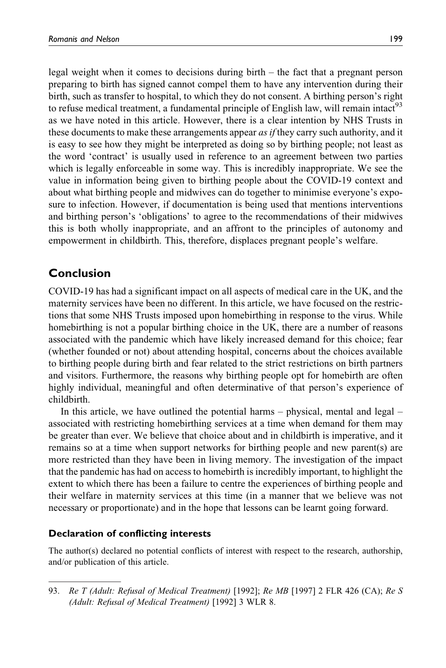legal weight when it comes to decisions during birth – the fact that a pregnant person preparing to birth has signed cannot compel them to have any intervention during their birth, such as transfer to hospital, to which they do not consent. A birthing person's right to refuse medical treatment, a fundamental principle of English law, will remain intact<sup>93</sup> as we have noted in this article. However, there is a clear intention by NHS Trusts in these documents to make these arrangements appear *as if* they carry such authority, and it is easy to see how they might be interpreted as doing so by birthing people; not least as the word 'contract' is usually used in reference to an agreement between two parties which is legally enforceable in some way. This is incredibly inappropriate. We see the value in information being given to birthing people about the COVID-19 context and about what birthing people and midwives can do together to minimise everyone's exposure to infection. However, if documentation is being used that mentions interventions and birthing person's 'obligations' to agree to the recommendations of their midwives this is both wholly inappropriate, and an affront to the principles of autonomy and empowerment in childbirth. This, therefore, displaces pregnant people's welfare.

## **Conclusion**

COVID-19 has had a significant impact on all aspects of medical care in the UK, and the maternity services have been no different. In this article, we have focused on the restrictions that some NHS Trusts imposed upon homebirthing in response to the virus. While homebirthing is not a popular birthing choice in the UK, there are a number of reasons associated with the pandemic which have likely increased demand for this choice; fear (whether founded or not) about attending hospital, concerns about the choices available to birthing people during birth and fear related to the strict restrictions on birth partners and visitors. Furthermore, the reasons why birthing people opt for homebirth are often highly individual, meaningful and often determinative of that person's experience of childbirth.

In this article, we have outlined the potential harms – physical, mental and legal – associated with restricting homebirthing services at a time when demand for them may be greater than ever. We believe that choice about and in childbirth is imperative, and it remains so at a time when support networks for birthing people and new parent(s) are more restricted than they have been in living memory. The investigation of the impact that the pandemic has had on access to homebirth is incredibly important, to highlight the extent to which there has been a failure to centre the experiences of birthing people and their welfare in maternity services at this time (in a manner that we believe was not necessary or proportionate) and in the hope that lessons can be learnt going forward.

#### **Declaration of conflicting interests**

The author(s) declared no potential conflicts of interest with respect to the research, authorship, and/or publication of this article.

<sup>93.</sup> Re T (Adult: Refusal of Medical Treatment) [1992]; Re MB [1997] 2 FLR 426 (CA); Re S (Adult: Refusal of Medical Treatment) [1992] 3 WLR 8.